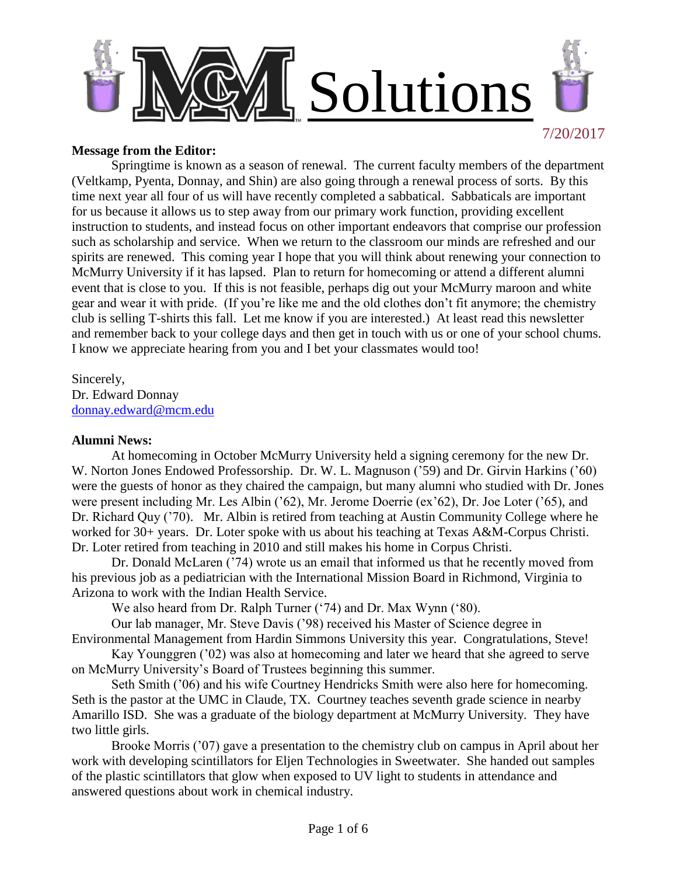

### **Message from the Editor:**

Springtime is known as a season of renewal. The current faculty members of the department (Veltkamp, Pyenta, Donnay, and Shin) are also going through a renewal process of sorts. By this time next year all four of us will have recently completed a sabbatical. Sabbaticals are important for us because it allows us to step away from our primary work function, providing excellent instruction to students, and instead focus on other important endeavors that comprise our profession such as scholarship and service. When we return to the classroom our minds are refreshed and our spirits are renewed. This coming year I hope that you will think about renewing your connection to McMurry University if it has lapsed. Plan to return for homecoming or attend a different alumni event that is close to you. If this is not feasible, perhaps dig out your McMurry maroon and white gear and wear it with pride. (If you're like me and the old clothes don't fit anymore; the chemistry club is selling T-shirts this fall. Let me know if you are interested.) At least read this newsletter and remember back to your college days and then get in touch with us or one of your school chums. I know we appreciate hearing from you and I bet your classmates would too!

Sincerely, Dr. Edward Donnay [donnay.edward@mcm.edu](mailto:donnay.edward@mcm.edu)

### **Alumni News:**

At homecoming in October McMurry University held a signing ceremony for the new Dr. W. Norton Jones Endowed Professorship. Dr. W. L. Magnuson ('59) and Dr. Girvin Harkins ('60) were the guests of honor as they chaired the campaign, but many alumni who studied with Dr. Jones were present including Mr. Les Albin ('62), Mr. Jerome Doerrie (ex'62), Dr. Joe Loter ('65), and Dr. Richard Quy ('70). Mr. Albin is retired from teaching at Austin Community College where he worked for 30+ years. Dr. Loter spoke with us about his teaching at Texas A&M-Corpus Christi. Dr. Loter retired from teaching in 2010 and still makes his home in Corpus Christi.

Dr. Donald McLaren ('74) wrote us an email that informed us that he recently moved from his previous job as a pediatrician with the International Mission Board in Richmond, Virginia to Arizona to work with the Indian Health Service.

We also heard from Dr. Ralph Turner ('74) and Dr. Max Wynn ('80).

Our lab manager, Mr. Steve Davis ('98) received his Master of Science degree in Environmental Management from Hardin Simmons University this year. Congratulations, Steve!

Kay Younggren ('02) was also at homecoming and later we heard that she agreed to serve on McMurry University's Board of Trustees beginning this summer.

Seth Smith ('06) and his wife Courtney Hendricks Smith were also here for homecoming. Seth is the pastor at the UMC in Claude, TX. Courtney teaches seventh grade science in nearby Amarillo ISD. She was a graduate of the biology department at McMurry University. They have two little girls.

Brooke Morris ('07) gave a presentation to the chemistry club on campus in April about her work with developing scintillators for Eljen Technologies in Sweetwater. She handed out samples of the plastic scintillators that glow when exposed to UV light to students in attendance and answered questions about work in chemical industry.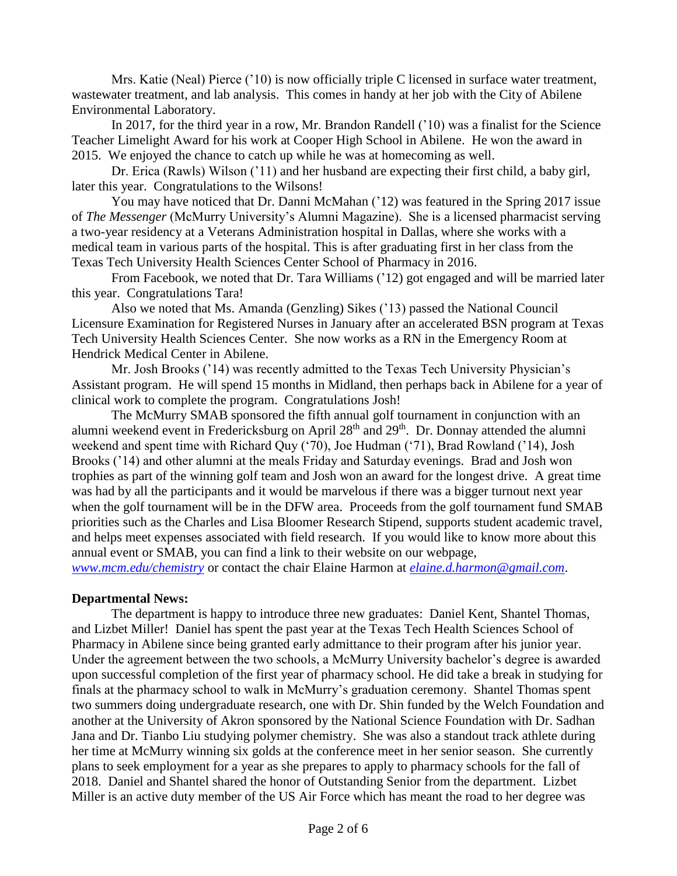Mrs. Katie (Neal) Pierce ('10) is now officially triple C licensed in surface water treatment, wastewater treatment, and lab analysis. This comes in handy at her job with the City of Abilene Environmental Laboratory.

In 2017, for the third year in a row, Mr. Brandon Randell ('10) was a finalist for the Science Teacher Limelight Award for his work at Cooper High School in Abilene. He won the award in 2015. We enjoyed the chance to catch up while he was at homecoming as well.

Dr. Erica (Rawls) Wilson ('11) and her husband are expecting their first child, a baby girl, later this year. Congratulations to the Wilsons!

You may have noticed that Dr. Danni McMahan ('12) was featured in the Spring 2017 issue of *The Messenger* (McMurry University's Alumni Magazine). She is a licensed pharmacist serving a two-year residency at a Veterans Administration hospital in Dallas, where she works with a medical team in various parts of the hospital. This is after graduating first in her class from the Texas Tech University Health Sciences Center School of Pharmacy in 2016.

From Facebook, we noted that Dr. Tara Williams ('12) got engaged and will be married later this year. Congratulations Tara!

Also we noted that Ms. Amanda (Genzling) Sikes ('13) passed the National Council Licensure Examination for Registered Nurses in January after an accelerated BSN program at Texas Tech University Health Sciences Center. She now works as a RN in the Emergency Room at Hendrick Medical Center in Abilene.

Mr. Josh Brooks ('14) was recently admitted to the Texas Tech University Physician's Assistant program. He will spend 15 months in Midland, then perhaps back in Abilene for a year of clinical work to complete the program. Congratulations Josh!

The McMurry SMAB sponsored the fifth annual golf tournament in conjunction with an alumni weekend event in Fredericksburg on April 28<sup>th</sup> and 29<sup>th</sup>. Dr. Donnay attended the alumni weekend and spent time with Richard Ouy ('70), Joe Hudman ('71), Brad Rowland ('14), Josh Brooks ('14) and other alumni at the meals Friday and Saturday evenings. Brad and Josh won trophies as part of the winning golf team and Josh won an award for the longest drive. A great time was had by all the participants and it would be marvelous if there was a bigger turnout next year when the golf tournament will be in the DFW area. Proceeds from the golf tournament fund SMAB priorities such as the Charles and Lisa Bloomer Research Stipend, supports student academic travel, and helps meet expenses associated with field research. If you would like to know more about this annual event or SMAB, you can find a link to their website on our webpage,

*[www.mcm.edu/chemistry](http://www.mcm.edu/chemistry)* or contact the chair Elaine Harmon at *[elaine.d.harmon@gmail.com](mailto:elaine.d.harmon@gmail.com)*.

## **Departmental News:**

The department is happy to introduce three new graduates: Daniel Kent, Shantel Thomas, and Lizbet Miller! Daniel has spent the past year at the Texas Tech Health Sciences School of Pharmacy in Abilene since being granted early admittance to their program after his junior year. Under the agreement between the two schools, a McMurry University bachelor's degree is awarded upon successful completion of the first year of pharmacy school. He did take a break in studying for finals at the pharmacy school to walk in McMurry's graduation ceremony. Shantel Thomas spent two summers doing undergraduate research, one with Dr. Shin funded by the Welch Foundation and another at the University of Akron sponsored by the National Science Foundation with Dr. Sadhan Jana and Dr. Tianbo Liu studying polymer chemistry. She was also a standout track athlete during her time at McMurry winning six golds at the conference meet in her senior season. She currently plans to seek employment for a year as she prepares to apply to pharmacy schools for the fall of 2018. Daniel and Shantel shared the honor of Outstanding Senior from the department. Lizbet Miller is an active duty member of the US Air Force which has meant the road to her degree was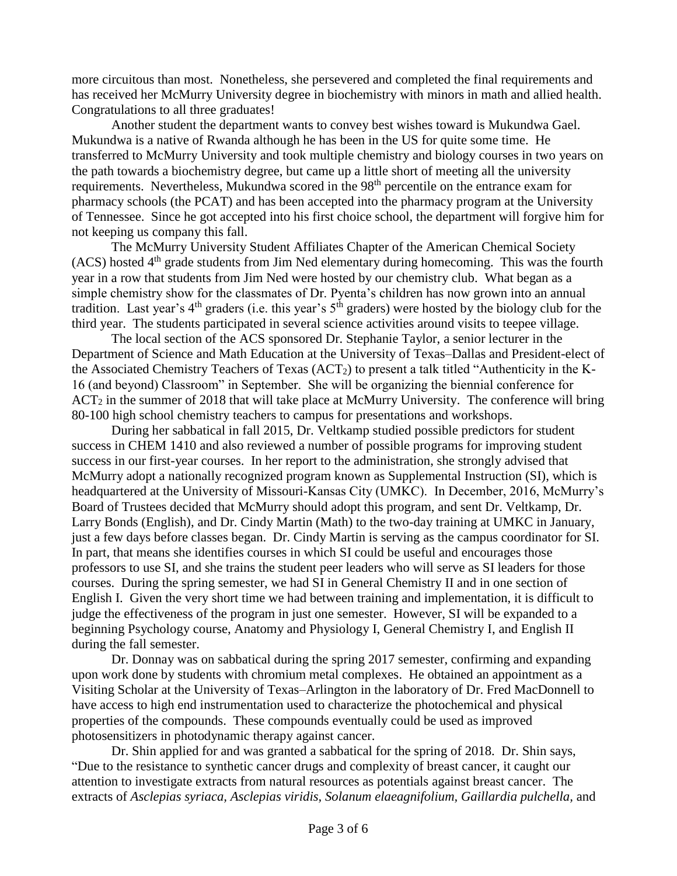more circuitous than most. Nonetheless, she persevered and completed the final requirements and has received her McMurry University degree in biochemistry with minors in math and allied health. Congratulations to all three graduates!

Another student the department wants to convey best wishes toward is Mukundwa Gael. Mukundwa is a native of Rwanda although he has been in the US for quite some time. He transferred to McMurry University and took multiple chemistry and biology courses in two years on the path towards a biochemistry degree, but came up a little short of meeting all the university requirements. Nevertheless, Mukundwa scored in the 98th percentile on the entrance exam for pharmacy schools (the PCAT) and has been accepted into the pharmacy program at the University of Tennessee. Since he got accepted into his first choice school, the department will forgive him for not keeping us company this fall.

The McMurry University Student Affiliates Chapter of the American Chemical Society (ACS) hosted 4<sup>th</sup> grade students from Jim Ned elementary during homecoming. This was the fourth year in a row that students from Jim Ned were hosted by our chemistry club. What began as a simple chemistry show for the classmates of Dr. Pyenta's children has now grown into an annual tradition. Last year's  $4<sup>th</sup>$  graders (i.e. this year's  $5<sup>th</sup>$  graders) were hosted by the biology club for the third year. The students participated in several science activities around visits to teepee village.

The local section of the ACS sponsored Dr. Stephanie Taylor, a senior lecturer in the Department of Science and Math Education at the University of Texas–Dallas and President-elect of the Associated Chemistry Teachers of Texas (ACT2) to present a talk titled "Authenticity in the K-16 (and beyond) Classroom" in September. She will be organizing the biennial conference for  $ACT_2$  in the summer of 2018 that will take place at McMurry University. The conference will bring 80-100 high school chemistry teachers to campus for presentations and workshops.

During her sabbatical in fall 2015, Dr. Veltkamp studied possible predictors for student success in CHEM 1410 and also reviewed a number of possible programs for improving student success in our first-year courses. In her report to the administration, she strongly advised that McMurry adopt a nationally recognized program known as Supplemental Instruction (SI), which is headquartered at the University of Missouri-Kansas City (UMKC). In December, 2016, McMurry's Board of Trustees decided that McMurry should adopt this program, and sent Dr. Veltkamp, Dr. Larry Bonds (English), and Dr. Cindy Martin (Math) to the two-day training at UMKC in January, just a few days before classes began. Dr. Cindy Martin is serving as the campus coordinator for SI. In part, that means she identifies courses in which SI could be useful and encourages those professors to use SI, and she trains the student peer leaders who will serve as SI leaders for those courses. During the spring semester, we had SI in General Chemistry II and in one section of English I. Given the very short time we had between training and implementation, it is difficult to judge the effectiveness of the program in just one semester. However, SI will be expanded to a beginning Psychology course, Anatomy and Physiology I, General Chemistry I, and English II during the fall semester.

Dr. Donnay was on sabbatical during the spring 2017 semester, confirming and expanding upon work done by students with chromium metal complexes. He obtained an appointment as a Visiting Scholar at the University of Texas–Arlington in the laboratory of Dr. Fred MacDonnell to have access to high end instrumentation used to characterize the photochemical and physical properties of the compounds. These compounds eventually could be used as improved photosensitizers in photodynamic therapy against cancer.

Dr. Shin applied for and was granted a sabbatical for the spring of 2018. Dr. Shin says, "Due to the resistance to synthetic cancer drugs and complexity of breast cancer, it caught our attention to investigate extracts from natural resources as potentials against breast cancer. The extracts of Asclepias syriaca, Asclepias viridis, Solanum elaeagnifolium, Gaillardia pulchella, and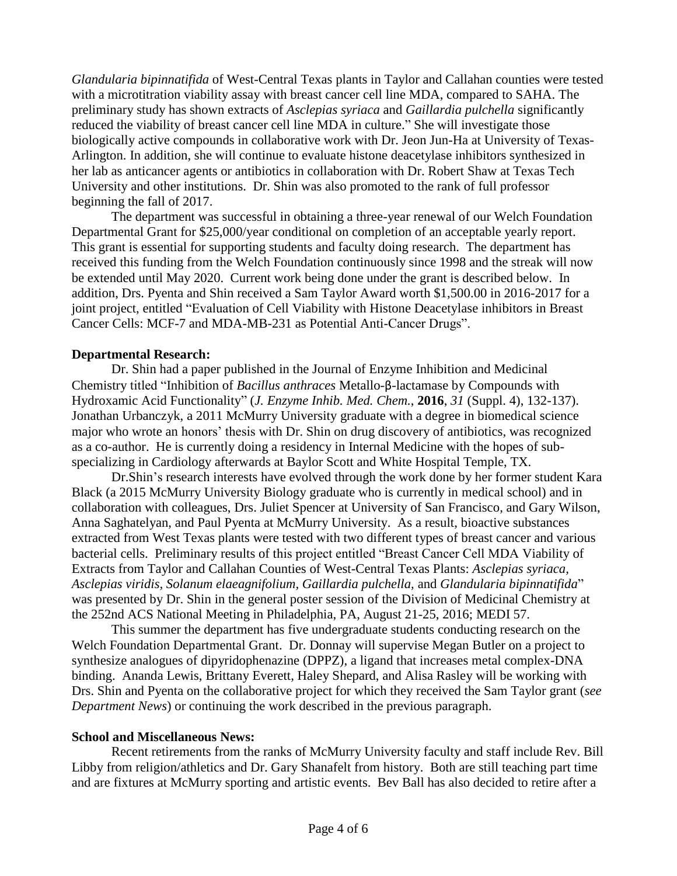*Glandularia bipinnatifida* of West-Central Texas plants in Taylor and Callahan counties were tested with a microtitration viability assay with breast cancer cell line MDA, compared to SAHA. The preliminary study has shown extracts of *Asclepias syriaca* and *Gaillardia pulchella* significantly reduced the viability of breast cancer cell line MDA in culture." She will investigate those biologically active compounds in collaborative work with Dr. Jeon Jun-Ha at University of Texas-Arlington. In addition, she will continue to evaluate histone deacetylase inhibitors synthesized in her lab as anticancer agents or antibiotics in collaboration with Dr. Robert Shaw at Texas Tech University and other institutions. Dr. Shin was also promoted to the rank of full professor beginning the fall of 2017.

The department was successful in obtaining a three-year renewal of our Welch Foundation Departmental Grant for \$25,000/year conditional on completion of an acceptable yearly report. This grant is essential for supporting students and faculty doing research. The department has received this funding from the Welch Foundation continuously since 1998 and the streak will now be extended until May 2020. Current work being done under the grant is described below. In addition, Drs. Pyenta and Shin received a Sam Taylor Award worth \$1,500.00 in 2016-2017 for a joint project, entitled "Evaluation of Cell Viability with Histone Deacetylase inhibitors in Breast Cancer Cells: MCF-7 and MDA-MB-231 as Potential Anti-Cancer Drugs".

## **Departmental Research:**

Dr. Shin had a paper published in the Journal of Enzyme Inhibition and Medicinal Chemistry titled "Inhibition of *Bacillus anthraces* Metallo-β-lactamase by Compounds with Hydroxamic Acid Functionality" (*J. Enzyme Inhib. Med. Chem.*, **2016**, *31* (Suppl. 4), 132-137). Jonathan Urbanczyk, a 2011 McMurry University graduate with a degree in biomedical science major who wrote an honors' thesis with Dr. Shin on drug discovery of antibiotics, was recognized as a co-author. He is currently doing a residency in Internal Medicine with the hopes of subspecializing in Cardiology afterwards at Baylor Scott and White Hospital Temple, TX.

Dr.Shin's research interests have evolved through the work done by her former student Kara Black (a 2015 McMurry University Biology graduate who is currently in medical school) and in collaboration with colleagues, Drs. Juliet Spencer at University of San Francisco, and Gary Wilson, Anna Saghatelyan, and Paul Pyenta at McMurry University. As a result, bioactive substances extracted from West Texas plants were tested with two different types of breast cancer and various bacterial cells. Preliminary results of this project entitled "Breast Cancer Cell MDA Viability of Extracts from Taylor and Callahan Counties of West-Central Texas Plants: *Asclepias syriaca, Asclepias viridis, Solanum elaeagnifolium, Gaillardia pulchella,* and *Glandularia bipinnatifida*" was presented by Dr. Shin in the general poster session of the Division of Medicinal Chemistry at the 252nd ACS National Meeting in Philadelphia, PA, August 21-25, 2016; MEDI 57.

This summer the department has five undergraduate students conducting research on the Welch Foundation Departmental Grant. Dr. Donnay will supervise Megan Butler on a project to synthesize analogues of dipyridophenazine (DPPZ), a ligand that increases metal complex-DNA binding. Ananda Lewis, Brittany Everett, Haley Shepard, and Alisa Rasley will be working with Drs. Shin and Pyenta on the collaborative project for which they received the Sam Taylor grant (*see Department News*) or continuing the work described in the previous paragraph.

#### **School and Miscellaneous News:**

Recent retirements from the ranks of McMurry University faculty and staff include Rev. Bill Libby from religion/athletics and Dr. Gary Shanafelt from history. Both are still teaching part time and are fixtures at McMurry sporting and artistic events. Bev Ball has also decided to retire after a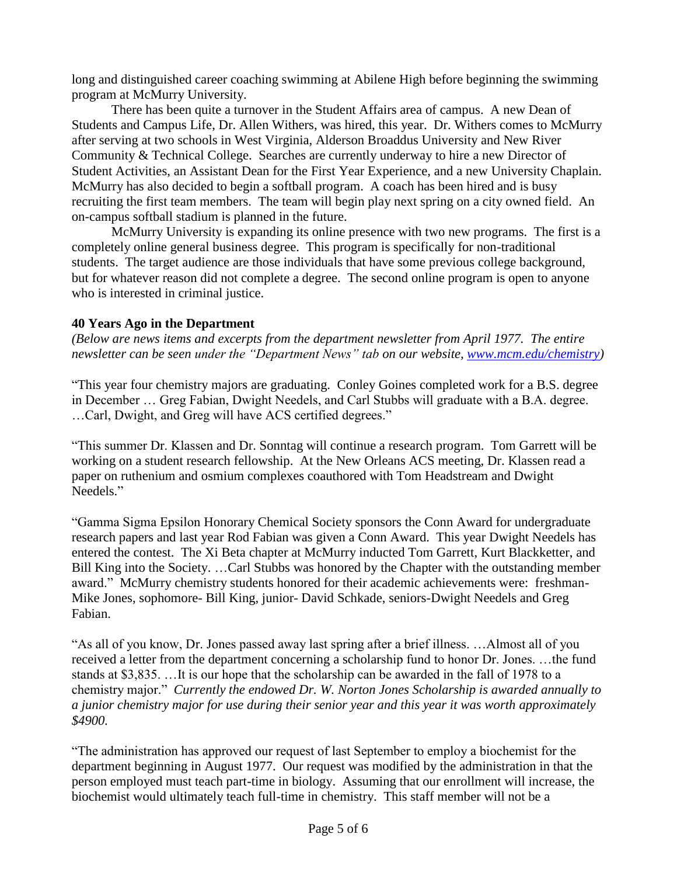long and distinguished career coaching swimming at Abilene High before beginning the swimming program at McMurry University.

There has been quite a turnover in the Student Affairs area of campus. A new Dean of Students and Campus Life, Dr. Allen Withers, was hired, this year. Dr. Withers comes to McMurry after serving at two schools in West Virginia, Alderson Broaddus University and New River Community & Technical College. Searches are currently underway to hire a new Director of Student Activities, an Assistant Dean for the First Year Experience, and a new University Chaplain. McMurry has also decided to begin a softball program. A coach has been hired and is busy recruiting the first team members. The team will begin play next spring on a city owned field. An on-campus softball stadium is planned in the future.

McMurry University is expanding its online presence with two new programs. The first is a completely online general business degree. This program is specifically for non-traditional students. The target audience are those individuals that have some previous college background, but for whatever reason did not complete a degree. The second online program is open to anyone who is interested in criminal justice.

## **40 Years Ago in the Department**

*(Below are news items and excerpts from the department newsletter from April 1977. The entire newsletter can be seen under the "Department News" tab on our website, [www.mcm.edu/chemistry\)](http://www.mcm.edu/chemistry)*

"This year four chemistry majors are graduating. Conley Goines completed work for a B.S. degree in December … Greg Fabian, Dwight Needels, and Carl Stubbs will graduate with a B.A. degree. …Carl, Dwight, and Greg will have ACS certified degrees."

"This summer Dr. Klassen and Dr. Sonntag will continue a research program. Tom Garrett will be working on a student research fellowship. At the New Orleans ACS meeting, Dr. Klassen read a paper on ruthenium and osmium complexes coauthored with Tom Headstream and Dwight Needels."

"Gamma Sigma Epsilon Honorary Chemical Society sponsors the Conn Award for undergraduate research papers and last year Rod Fabian was given a Conn Award. This year Dwight Needels has entered the contest. The Xi Beta chapter at McMurry inducted Tom Garrett, Kurt Blackketter, and Bill King into the Society. …Carl Stubbs was honored by the Chapter with the outstanding member award." McMurry chemistry students honored for their academic achievements were: freshman-Mike Jones, sophomore- Bill King, junior- David Schkade, seniors-Dwight Needels and Greg Fabian.

"As all of you know, Dr. Jones passed away last spring after a brief illness. …Almost all of you received a letter from the department concerning a scholarship fund to honor Dr. Jones. …the fund stands at \$3,835. …It is our hope that the scholarship can be awarded in the fall of 1978 to a chemistry major." *Currently the endowed Dr. W. Norton Jones Scholarship is awarded annually to a junior chemistry major for use during their senior year and this year it was worth approximately \$4900.*

"The administration has approved our request of last September to employ a biochemist for the department beginning in August 1977. Our request was modified by the administration in that the person employed must teach part-time in biology. Assuming that our enrollment will increase, the biochemist would ultimately teach full-time in chemistry. This staff member will not be a